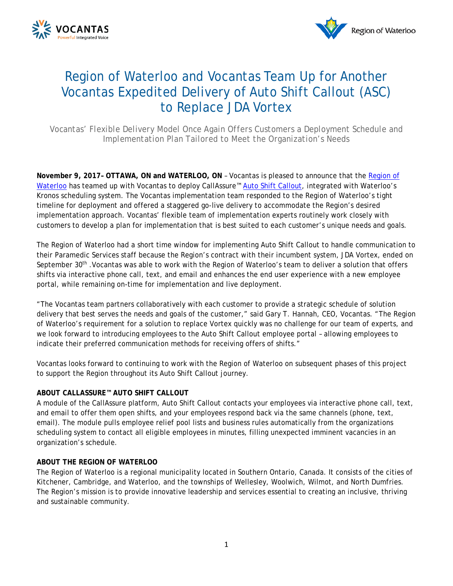



# Region of Waterloo and Vocantas Team Up for Another Vocantas Expedited Delivery of Auto Shift Callout (ASC) to Replace JDA Vortex

*Vocantas' Flexible Delivery Model Once Again Offers Customers a Deployment Schedule and Implementation Plan Tailored to Meet the Organization's Needs*

**November 9, 2017– OTTAWA, ON and WATERLOO, ON** – Vocantas is pleased to announce that the [Region of](http://www.regionofwaterloo.ca/en/index.asp)  [Waterloo](http://www.regionofwaterloo.ca/en/index.asp) has teamed up with Vocantas to deploy CallAssure<sup>™</sup> [Auto Shift Callout,](http://vocantas.com/products/auto-shift-callout) integrated with Waterloo's Kronos scheduling system. The Vocantas implementation team responded to the Region of Waterloo's tight timeline for deployment and offered a staggered go-live delivery to accommodate the Region's desired implementation approach. Vocantas' flexible team of implementation experts routinely work closely with customers to develop a plan for implementation that is best suited to each customer's unique needs and goals.

The Region of Waterloo had a short time window for implementing Auto Shift Callout to handle communication to their Paramedic Services staff because the Region's contract with their incumbent system, JDA Vortex, ended on September 30<sup>th</sup> . Vocantas was able to work with the Region of Waterloo's team to deliver a solution that offers shifts via interactive phone call, text, and email and enhances the end user experience with a new employee portal, while remaining on-time for implementation and live deployment.

"The Vocantas team partners collaboratively with each customer to provide a strategic schedule of solution delivery that best serves the needs and goals of the customer," said Gary T. Hannah, CEO, Vocantas. "The Region of Waterloo's requirement for a solution to replace Vortex quickly was no challenge for our team of experts, and we look forward to introducing employees to the Auto Shift Callout employee portal – allowing employees to indicate their preferred communication methods for receiving offers of shifts."

Vocantas looks forward to continuing to work with the Region of Waterloo on subsequent phases of this project to support the Region throughout its Auto Shift Callout journey.

## **ABOUT CALLASSURE™ AUTO SHIFT CALLOUT**

A module of the CallAssure platform, Auto Shift Callout contacts your employees via interactive phone call, text, and email to offer them open shifts, and your employees respond back via the same channels (phone, text, email). The module pulls employee relief pool lists and business rules automatically from the organizations scheduling system to contact all eligible employees in minutes, filling unexpected imminent vacancies in an organization's schedule.

### **ABOUT THE REGION OF WATERLOO**

The Region of Waterloo is a regional municipality located in Southern Ontario, Canada. It consists of the cities of Kitchener, Cambridge, and Waterloo, and the townships of Wellesley, Woolwich, Wilmot, and North Dumfries. The Region's mission is to provide innovative leadership and services essential to creating an inclusive, thriving and sustainable community.